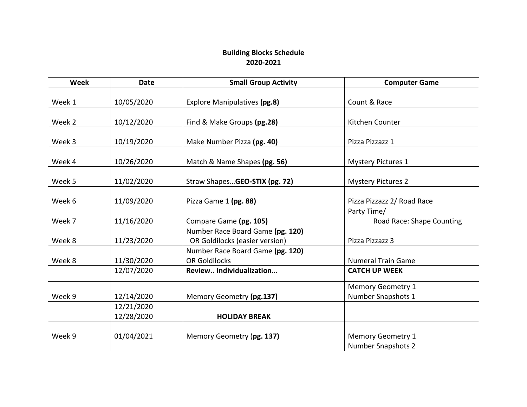## **Building Blocks Schedule 2020-2021**

| <b>Week</b> | <b>Date</b> | <b>Small Group Activity</b>      | <b>Computer Game</b>       |
|-------------|-------------|----------------------------------|----------------------------|
|             |             |                                  |                            |
| Week 1      | 10/05/2020  | Explore Manipulatives (pg.8)     | Count & Race               |
|             |             |                                  |                            |
| Week 2      | 10/12/2020  | Find & Make Groups (pg.28)       | Kitchen Counter            |
| Week 3      | 10/19/2020  | Make Number Pizza (pg. 40)       | Pizza Pizzazz 1            |
|             |             |                                  |                            |
| Week 4      | 10/26/2020  | Match & Name Shapes (pg. 56)     | <b>Mystery Pictures 1</b>  |
|             |             |                                  |                            |
| Week 5      | 11/02/2020  | Straw ShapesGEO-STIX (pg. 72)    | <b>Mystery Pictures 2</b>  |
|             |             |                                  |                            |
| Week 6      | 11/09/2020  | Pizza Game 1 (pg. 88)            | Pizza Pizzazz 2/ Road Race |
|             |             |                                  | Party Time/                |
| Week 7      | 11/16/2020  | Compare Game (pg. 105)           | Road Race: Shape Counting  |
|             |             | Number Race Board Game (pg. 120) |                            |
| Week 8      | 11/23/2020  | OR Goldilocks (easier version)   | Pizza Pizzazz 3            |
|             |             | Number Race Board Game (pg. 120) |                            |
| Week 8      | 11/30/2020  | <b>OR Goldilocks</b>             | <b>Numeral Train Game</b>  |
|             | 12/07/2020  | Review Individualization         | <b>CATCH UP WEEK</b>       |
|             |             |                                  | <b>Memory Geometry 1</b>   |
| Week 9      | 12/14/2020  | Memory Geometry (pg.137)         | Number Snapshots 1         |
|             | 12/21/2020  |                                  |                            |
|             | 12/28/2020  | <b>HOLIDAY BREAK</b>             |                            |
|             |             |                                  |                            |
| Week 9      | 01/04/2021  | Memory Geometry (pg. 137)        | <b>Memory Geometry 1</b>   |
|             |             |                                  | <b>Number Snapshots 2</b>  |